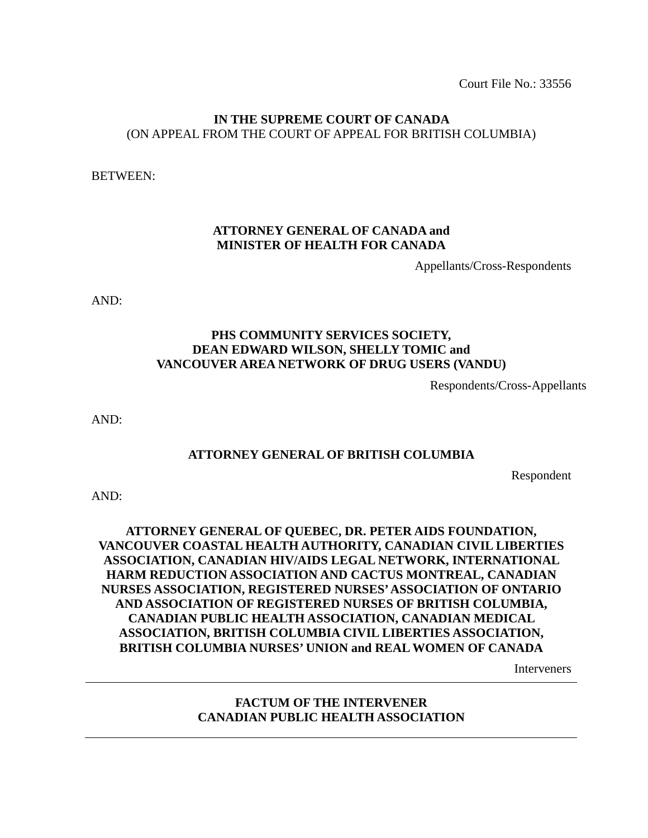Court File No.: 33556

## **IN THE SUPREME COURT OF CANADA**  (ON APPEAL FROM THE COURT OF APPEAL FOR BRITISH COLUMBIA)

BETWEEN:

## **ATTORNEY GENERAL OF CANADA and MINISTER OF HEALTH FOR CANADA**

Appellants/Cross-Respondents

AND:

## **PHS COMMUNITY SERVICES SOCIETY, DEAN EDWARD WILSON, SHELLY TOMIC and VANCOUVER AREA NETWORK OF DRUG USERS (VANDU)**

Respondents/Cross-Appellants

AND:

## **ATTORNEY GENERAL OF BRITISH COLUMBIA**

Respondent

AND:

# **ATTORNEY GENERAL OF QUEBEC, DR. PETER AIDS FOUNDATION, VANCOUVER COASTAL HEALTH AUTHORITY, CANADIAN CIVIL LIBERTIES ASSOCIATION, CANADIAN HIV/AIDS LEGAL NETWORK, INTERNATIONAL HARM REDUCTION ASSOCIATION AND CACTUS MONTREAL, CANADIAN NURSES ASSOCIATION, REGISTERED NURSES' ASSOCIATION OF ONTARIO AND ASSOCIATION OF REGISTERED NURSES OF BRITISH COLUMBIA, CANADIAN PUBLIC HEALTH ASSOCIATION, CANADIAN MEDICAL ASSOCIATION, BRITISH COLUMBIA CIVIL LIBERTIES ASSOCIATION, BRITISH COLUMBIA NURSES' UNION and REAL WOMEN OF CANADA**

Interveners

## **FACTUM OF THE INTERVENER CANADIAN PUBLIC HEALTH ASSOCIATION**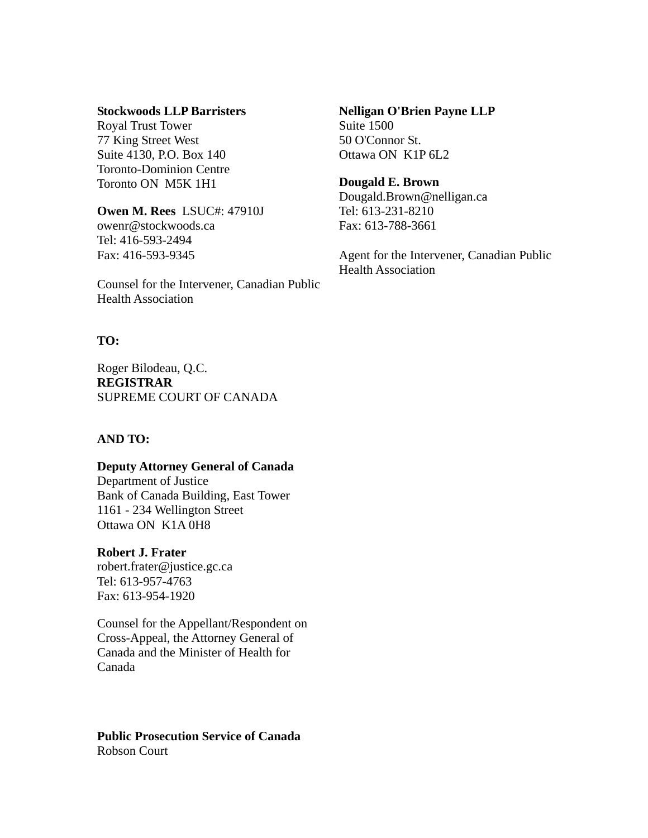## **Stockwoods LLP Barristers**

Royal Trust Tower 77 King Street West Suite 4130, P.O. Box 140 Toronto-Dominion Centre Toronto ON M5K 1H1

**Owen M. Rees** LSUC#: 47910J owenr@stockwoods.ca Tel: 416-593-2494 Fax: 416-593-9345

Counsel for the Intervener, Canadian Public Health Association

## **TO:**

Roger Bilodeau, Q.C. **REGISTRAR** SUPREME COURT OF CANADA

#### **AND TO:**

#### **Deputy Attorney General of Canada**

Department of Justice Bank of Canada Building, East Tower 1161 - 234 Wellington Street Ottawa ON K1A 0H8

#### **Robert J. Frater**

robert.frater@justice.gc.ca Tel: 613-957-4763 Fax: 613-954-1920

Counsel for the Appellant/Respondent on Cross-Appeal, the Attorney General of Canada and the Minister of Health for Canada

**Public Prosecution Service of Canada** Robson Court

**Nelligan O'Brien Payne LLP** Suite 1500 50 O'Connor St. Ottawa ON K1P 6L2

#### **Dougald E. Brown**

Dougald.Brown@nelligan.ca Tel: 613-231-8210 Fax: 613-788-3661

Agent for the Intervener, Canadian Public Health Association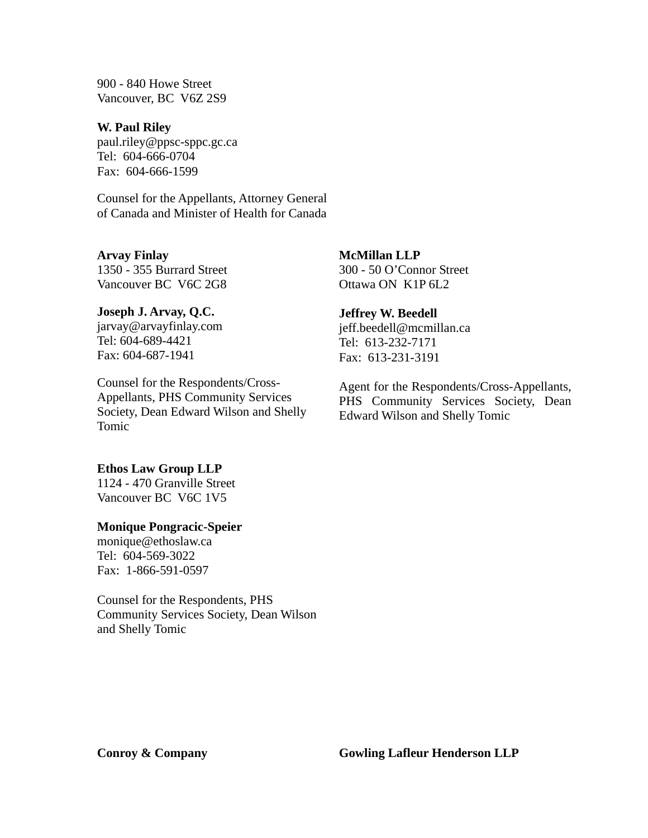900 - 840 Howe Street Vancouver, BC V6Z 2S9

**W. Paul Riley** paul.riley@ppsc-sppc.gc.ca Tel: 604-666-0704 Fax: 604-666-1599

Counsel for the Appellants, Attorney General of Canada and Minister of Health for Canada

**Arvay Finlay** 1350 - 355 Burrard Street Vancouver BC V6C 2G8

# **Joseph J. Arvay, Q.C.**

jarvay@arvayfinlay.com Tel: 604-689-4421 Fax: 604-687-1941

Counsel for the Respondents/Cross-Appellants, PHS Community Services Society, Dean Edward Wilson and Shelly Tomic

#### **Ethos Law Group LLP**

1124 - 470 Granville Street Vancouver BC V6C 1V5

#### **Monique Pongracic-Speier**

monique@ethoslaw.ca Tel: 604-569-3022 Fax: 1-866-591-0597

Counsel for the Respondents, PHS Community Services Society, Dean Wilson and Shelly Tomic

**McMillan LLP** 300 - 50 O'Connor Street Ottawa ON K1P 6L2

#### **Jeffrey W. Beedell**

jeff.beedell@mcmillan.ca Tel: 613-232-7171 Fax: 613-231-3191

Agent for the Respondents/Cross-Appellants, PHS Community Services Society, Dean Edward Wilson and Shelly Tomic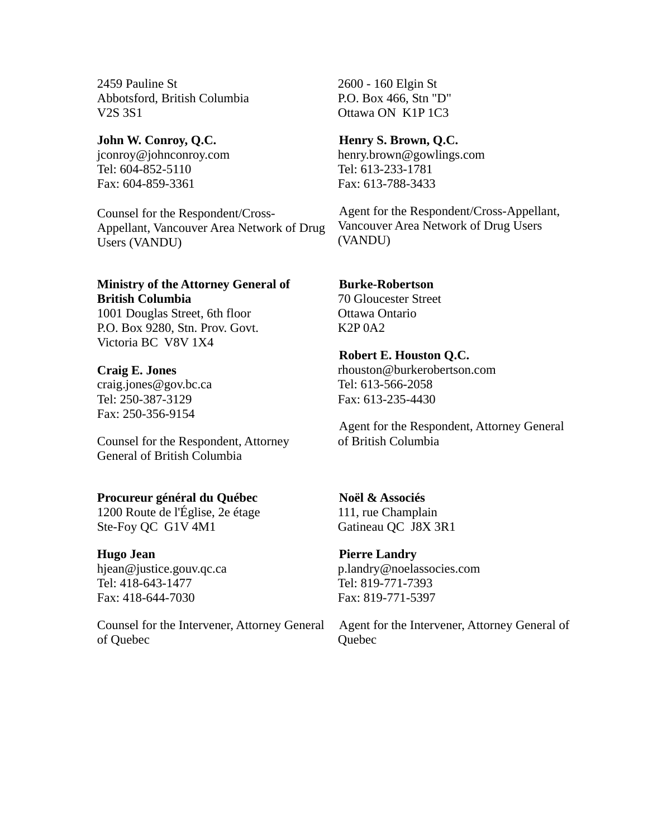2459 Pauline St Abbotsford, British Columbia V2S 3S1

**John W. Conroy, Q.C.** jconroy@johnconroy.com Tel: 604-852-5110 Fax: 604-859-3361

Counsel for the Respondent/Cross-Appellant, Vancouver Area Network of Drug Users (VANDU)

# **Ministry of the Attorney General of British Columbia**

1001 Douglas Street, 6th floor P.O. Box 9280, Stn. Prov. Govt. Victoria BC V8V 1X4

**Craig E. Jones** craig.jones@gov.bc.ca Tel: 250-387-3129 Fax: 250-356-9154

Counsel for the Respondent, Attorney General of British Columbia

## **Procureur général du Québec**

1200 Route de l'Église, 2e étage Ste-Foy QC G1V 4M1

**Hugo Jean** hjean@justice.gouv.qc.ca Tel: 418-643-1477 Fax: 418-644-7030

Counsel for the Intervener, Attorney General of Quebec

2600 - 160 Elgin St P.O. Box 466, Stn "D" Ottawa ON K1P 1C3

## **Henry S. Brown, Q.C.**

henry.brown@gowlings.com Tel: 613-233-1781 Fax: 613-788-3433

Agent for the Respondent/Cross-Appellant, Vancouver Area Network of Drug Users (VANDU)

# **Burke-Robertson**

70 Gloucester Street Ottawa Ontario K2P 0A2

## **Robert E. Houston Q.C.**

rhouston@burkerobertson.com Tel: 613-566-2058 Fax: 613-235-4430

Agent for the Respondent, Attorney General of British Columbia

# **Noël & Associés**

111, rue Champlain Gatineau QC J8X 3R1

## **Pierre Landry**

p.landry@noelassocies.com Tel: 819-771-7393 Fax: 819-771-5397

Agent for the Intervener, Attorney General of **Ouebec**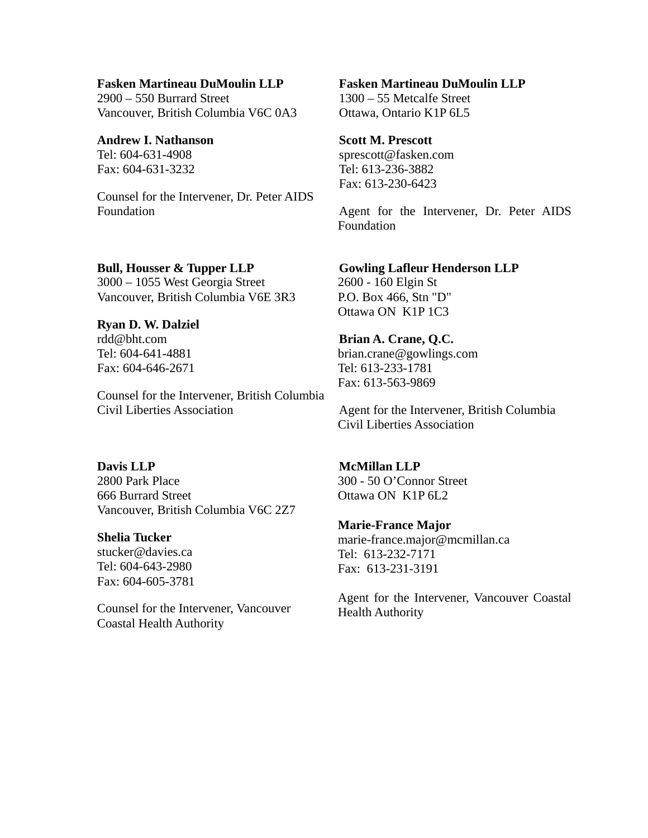#### **Fasken Martineau DuMoulin LLP**

2900 – 550 Burrard Street Vancouver, British Columbia V6C 0A3

# **Andrew I. Nathanson**

Tel: 604-631-4908 Fax: 604-631-3232

Counsel for the Intervener, Dr. Peter AIDS Foundation

# **Bull, Housser & Tupper LLP**

3000 – 1055 West Georgia Street Vancouver, British Columbia V6E 3R3

## **Ryan D. W. Dalziel**

rdd@bht.com Tel: 604-641-4881 Fax: 604-646-2671

Counsel for the Intervener, British Columbia Civil Liberties Association

## **Davis LLP**

2800 Park Place 666 Burrard Street Vancouver, British Columbia V6C 2Z7

#### **Shelia Tucker**

stucker@davies.ca Tel: 604-643-2980 Fax: 604-605-3781

Counsel for the Intervener, Vancouver Coastal Health Authority

## **Fasken Martineau DuMoulin LLP**

1300 – 55 Metcalfe Street Ottawa, Ontario K1P 6L5

## **Scott M. Prescott**

sprescott@fasken.com Tel: 613-236-3882 Fax: 613-230-6423

Agent for the Intervener, Dr. Peter AIDS Foundation

#### **Gowling Lafleur Henderson LLP**

2600 - 160 Elgin St P.O. Box 466, Stn "D" Ottawa ON K1P 1C3

#### **Brian A. Crane, Q.C.**

brian.crane@gowlings.com Tel: 613-233-1781 Fax: 613-563-9869

Agent for the Intervener, British Columbia Civil Liberties Association

#### **McMillan LLP**

300 - 50 O'Connor Street Ottawa ON K1P 6L2

#### **Marie-France Major**

marie-france.major@mcmillan.ca Tel: 613-232-7171 Fax: 613-231-3191

Agent for the Intervener, Vancouver Coastal Health Authority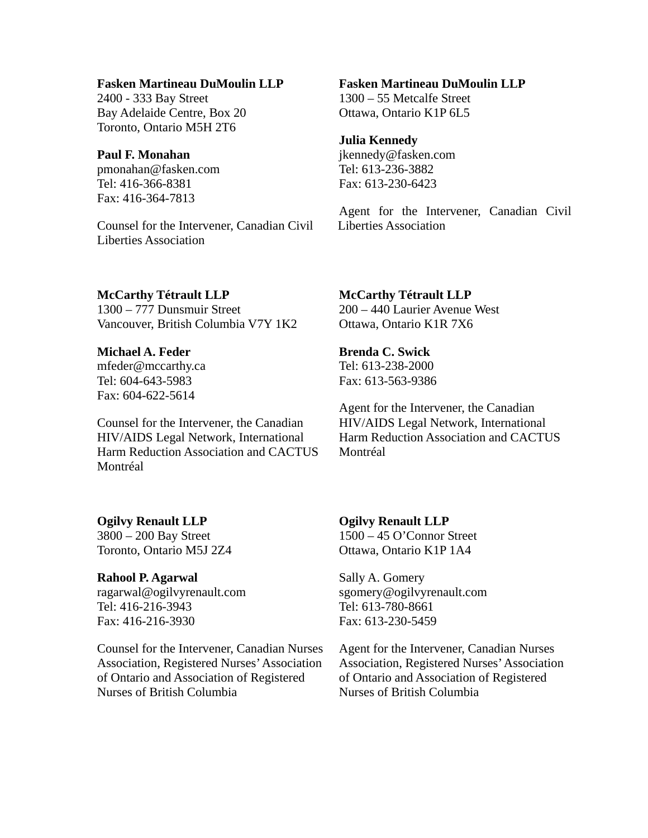## **Fasken Martineau DuMoulin LLP**

2400 - 333 Bay Street Bay Adelaide Centre, Box 20 Toronto, Ontario M5H 2T6

#### **Paul F. Monahan**

pmonahan@fasken.com Tel: 416-366-8381 Fax: 416-364-7813

Counsel for the Intervener, Canadian Civil Liberties Association

# **Fasken Martineau DuMoulin LLP**

1300 – 55 Metcalfe Street Ottawa, Ontario K1P 6L5

## **Julia Kennedy**

jkennedy@fasken.com Tel: 613-236-3882 Fax: 613-230-6423

Agent for the Intervener, Canadian Civil Liberties Association

#### **McCarthy Tétrault LLP**

1300 – 777 Dunsmuir Street Vancouver, British Columbia V7Y 1K2

## **Michael A. Feder**

mfeder@mccarthy.ca Tel: 604-643-5983 Fax: 604-622-5614

Counsel for the Intervener, the Canadian HIV/AIDS Legal Network, International Harm Reduction Association and CACTUS Montréal

# **Ogilvy Renault LLP**

3800 – 200 Bay Street Toronto, Ontario M5J 2Z4

# **Rahool P. Agarwal**

ragarwal@ogilvyrenault.com Tel: 416-216-3943 Fax: 416-216-3930

Counsel for the Intervener, Canadian Nurses Association, Registered Nurses' Association of Ontario and Association of Registered Nurses of British Columbia

## **McCarthy Tétrault LLP**

200 – 440 Laurier Avenue West Ottawa, Ontario K1R 7X6

#### **Brenda C. Swick**

Tel: 613-238-2000 Fax: 613-563-9386

Agent for the Intervener, the Canadian HIV/AIDS Legal Network, International Harm Reduction Association and CACTUS Montréal

## **Ogilvy Renault LLP**

1500 – 45 O'Connor Street Ottawa, Ontario K1P 1A4

Sally A. Gomery sgomery@ogilvyrenault.com Tel: 613-780-8661 Fax: 613-230-5459

Agent for the Intervener, Canadian Nurses Association, Registered Nurses' Association of Ontario and Association of Registered Nurses of British Columbia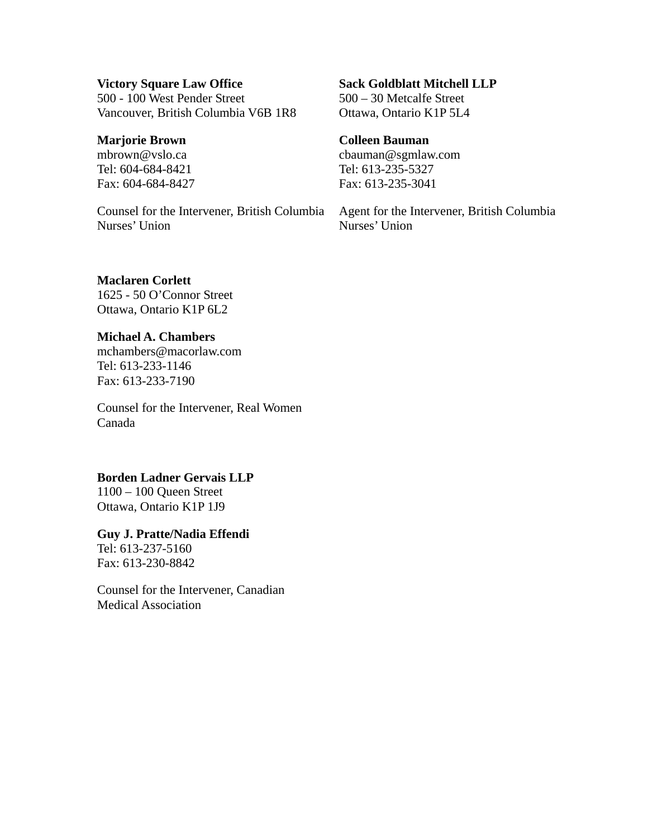#### **Victory Square Law Office**

500 - 100 West Pender Street Vancouver, British Columbia V6B 1R8

## **Marjorie Brown**

mbrown@vslo.ca Tel: 604-684-8421 Fax: 604-684-8427

Counsel for the Intervener, British Columbia Nurses' Union

# **Sack Goldblatt Mitchell LLP**

500 – 30 Metcalfe Street Ottawa, Ontario K1P 5L4

## **Colleen Bauman**

cbauman@sgmlaw.com Tel: 613-235-5327 Fax: 613-235-3041

Agent for the Intervener, British Columbia Nurses' Union

## **Maclaren Corlett**

1625 - 50 O'Connor Street Ottawa, Ontario K1P 6L2

# **Michael A. Chambers**

mchambers@macorlaw.com Tel: 613-233-1146 Fax: 613-233-7190

Counsel for the Intervener, Real Women Canada

## **Borden Ladner Gervais LLP**

1100 – 100 Queen Street Ottawa, Ontario K1P 1J9

#### **Guy J. Pratte/Nadia Effendi**

Tel: 613-237-5160 Fax: 613-230-8842

Counsel for the Intervener, Canadian Medical Association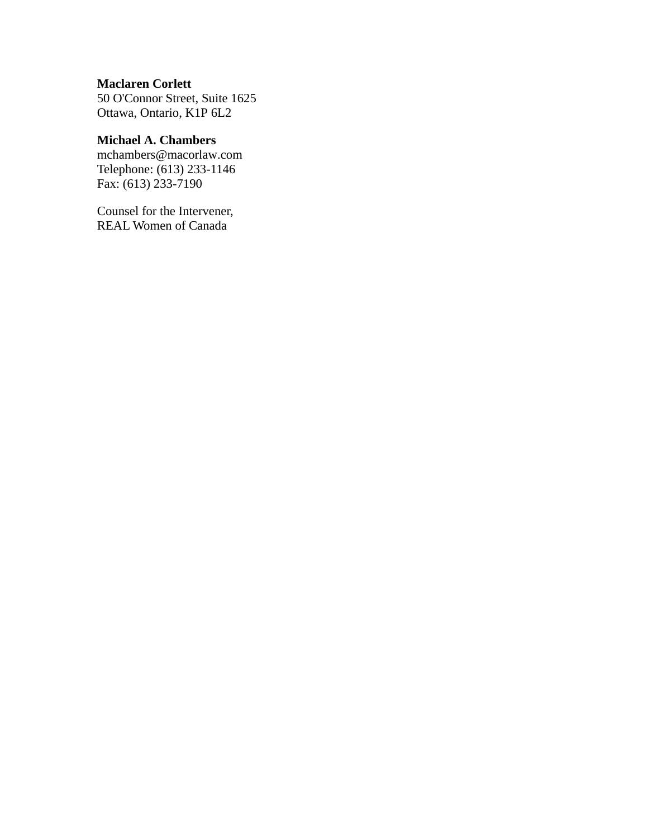## **Maclaren Corlett**

50 O'Connor Street, Suite 1625 Ottawa, Ontario, K1P 6L2

# **Michael A. Chambers**

mchambers@macorlaw.com Telephone: (613) 233-1146 Fax: (613) 233-7190

Counsel for the Intervener, REAL Women of Canada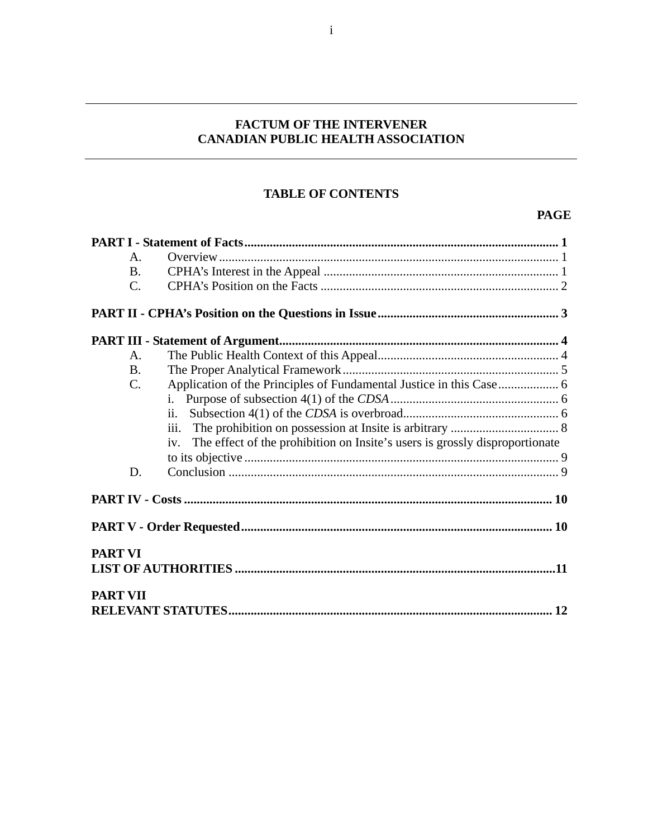# **FACTUM OF THE INTERVENER CANADIAN PUBLIC HEALTH ASSOCIATION**

# **TABLE OF CONTENTS**

# **PAGE**

|                 | $\mathsf{A}$ . |                                                                                    |  |
|-----------------|----------------|------------------------------------------------------------------------------------|--|
|                 | <b>B.</b>      |                                                                                    |  |
|                 | C.             |                                                                                    |  |
|                 |                |                                                                                    |  |
|                 |                |                                                                                    |  |
|                 | A.             |                                                                                    |  |
|                 | <b>B.</b>      |                                                                                    |  |
|                 | C.             |                                                                                    |  |
|                 |                |                                                                                    |  |
|                 |                | ii.                                                                                |  |
|                 |                | iii.                                                                               |  |
|                 |                | The effect of the prohibition on Insite's users is grossly disproportionate<br>iv. |  |
|                 |                |                                                                                    |  |
|                 | D.             |                                                                                    |  |
|                 |                |                                                                                    |  |
|                 |                |                                                                                    |  |
| <b>PART VI</b>  |                |                                                                                    |  |
|                 |                |                                                                                    |  |
| <b>PART VII</b> |                |                                                                                    |  |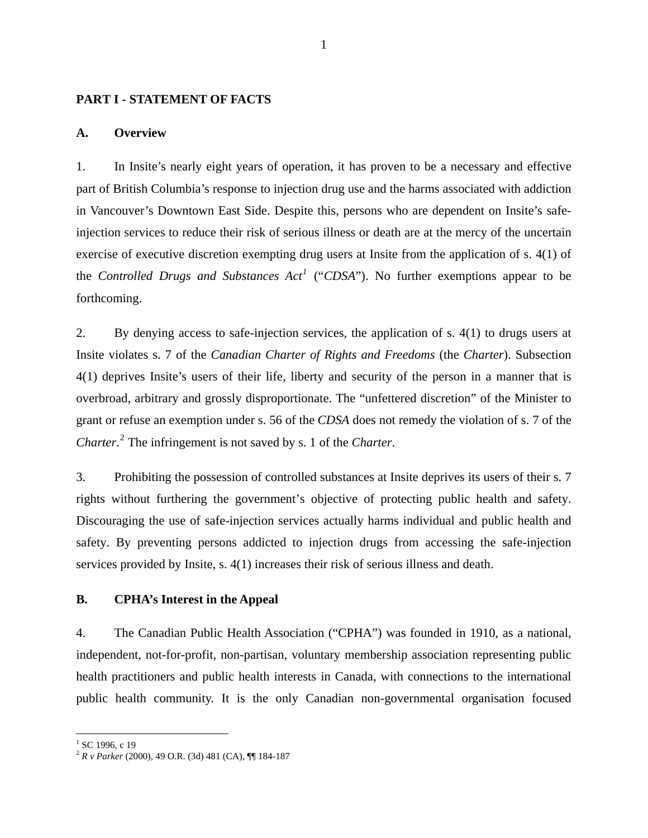## <span id="page-9-0"></span>**PART I - STATEMENT OF FACTS**

#### **A. Overview**

1. In Insite's nearly eight years of operation, it has proven to be a necessary and effective part of British Columbia's response to injection drug use and the harms associated with addiction in Vancouver's Downtown East Side. Despite this, persons who are dependent on Insite's safeinjection services to reduce their risk of serious illness or death are at the mercy of the uncertain exercise of executive discretion exempting drug users at Insite from the application of s. 4(1) of the *Controlled Drugs and Substances Act[1](#page-9-1)* ("*CDSA*"). No further exemptions appear to be forthcoming.

2. By denying access to safe-injection services, the application of s. 4(1) to drugs users at Insite violates s. 7 of the *Canadian Charter of Rights and Freedoms* (the *Charter*). Subsection 4(1) deprives Insite's users of their life, liberty and security of the person in a manner that is overbroad, arbitrary and grossly disproportionate. The "unfettered discretion" of the Minister to grant or refuse an exemption under s. 56 of the *CDSA* does not remedy the violation of s. 7 of the *Charter*. [2](#page-9-2) The infringement is not saved by s. 1 of the *Charter*.

3. Prohibiting the possession of controlled substances at Insite deprives its users of their s. 7 rights without furthering the government's objective of protecting public health and safety. Discouraging the use of safe-injection services actually harms individual and public health and safety. By preventing persons addicted to injection drugs from accessing the safe-injection services provided by Insite, s. 4(1) increases their risk of serious illness and death.

#### **B. CPHA's Interest in the Appeal**

4. The Canadian Public Health Association ("CPHA") was founded in 1910, as a national, independent, not-for-profit, non-partisan, voluntary membership association representing public health practitioners and public health interests in Canada, with connections to the international public health community. It is the only Canadian non-governmental organisation focused

<sup>&</sup>lt;sup>1</sup> SC 1996, c 19

<span id="page-9-2"></span><span id="page-9-1"></span><sup>2</sup> *R v Parker* (2000), 49 O.R. (3d) 481 (CA), ¶¶ 184-187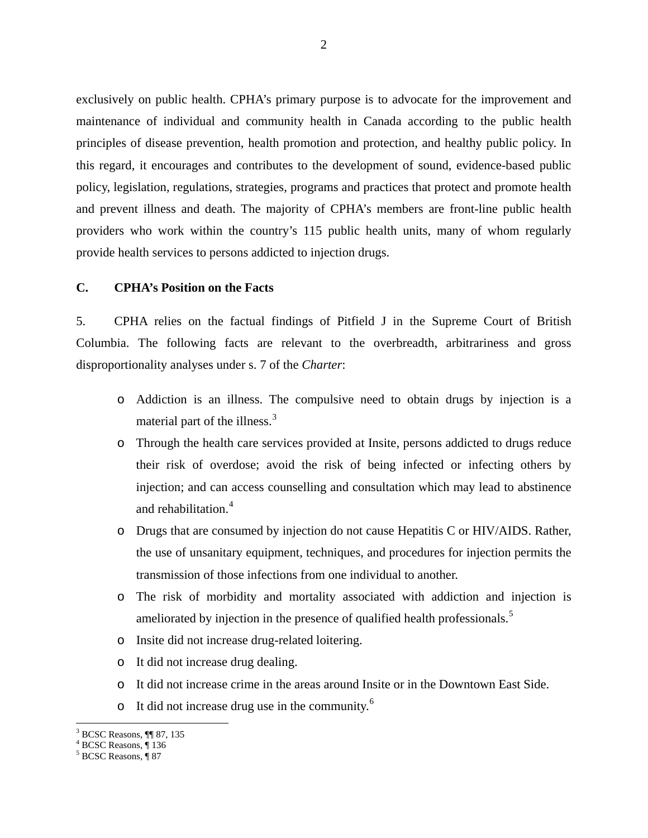<span id="page-10-0"></span>exclusively on public health. CPHA's primary purpose is to advocate for the improvement and maintenance of individual and community health in Canada according to the public health principles of disease prevention, health promotion and protection, and healthy public policy. In this regard, it encourages and contributes to the development of sound, evidence-based public policy, legislation, regulations, strategies, programs and practices that protect and promote health and prevent illness and death. The majority of CPHA's members are front-line public health providers who work within the country's 115 public health units, many of whom regularly provide health services to persons addicted to injection drugs.

#### **C. CPHA's Position on the Facts**

5. CPHA relies on the factual findings of Pitfield J in the Supreme Court of British Columbia. The following facts are relevant to the overbreadth, arbitrariness and gross disproportionality analyses under s. 7 of the *Charter*:

- o Addiction is an illness. The compulsive need to obtain drugs by injection is a material part of the illness.<sup>[3](#page-10-1)</sup>
- o Through the health care services provided at Insite, persons addicted to drugs reduce their risk of overdose; avoid the risk of being infected or infecting others by injection; and can access counselling and consultation which may lead to abstinence and rehabilitation.<sup>[4](#page-10-2)</sup>
- o Drugs that are consumed by injection do not cause Hepatitis C or HIV/AIDS. Rather, the use of unsanitary equipment, techniques, and procedures for injection permits the transmission of those infections from one individual to another.
- o The risk of morbidity and mortality associated with addiction and injection is ameliorated by injection in the presence of qualified health professionals.<sup>[5](#page-10-3)</sup>
- o Insite did not increase drug-related loitering.
- o It did not increase drug dealing.
- o It did not increase crime in the areas around Insite or in the Downtown East Side.
- $\circ$  It did not increase drug use in the community.<sup>[6](#page-10-1)</sup>

<span id="page-10-1"></span> $\overline{a}$ 3 BCSC Reasons, ¶¶ 87, 135

<sup>4</sup> BCSC Reasons, ¶ 136

<span id="page-10-3"></span><span id="page-10-2"></span><sup>&</sup>lt;sup>5</sup> BCSC Reasons, ¶87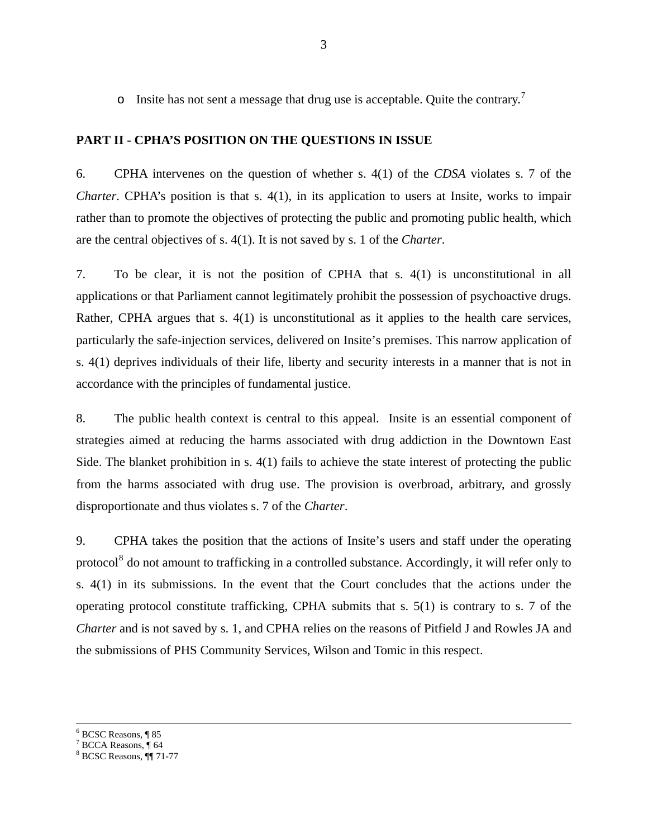<span id="page-11-0"></span>o Insite has not sent a message that drug use is acceptable. Quite the contrary.[7](#page-11-1)

## **PART II - CPHA'S POSITION ON THE QUESTIONS IN ISSUE**

6. CPHA intervenes on the question of whether s. 4(1) of the *CDSA* violates s. 7 of the *Charter*. CPHA's position is that s. 4(1), in its application to users at Insite, works to impair rather than to promote the objectives of protecting the public and promoting public health, which are the central objectives of s. 4(1). It is not saved by s. 1 of the *Charter*.

7. To be clear, it is not the position of CPHA that s. 4(1) is unconstitutional in all applications or that Parliament cannot legitimately prohibit the possession of psychoactive drugs. Rather, CPHA argues that s. 4(1) is unconstitutional as it applies to the health care services, particularly the safe-injection services, delivered on Insite's premises. This narrow application of s. 4(1) deprives individuals of their life, liberty and security interests in a manner that is not in accordance with the principles of fundamental justice.

8. The public health context is central to this appeal. Insite is an essential component of strategies aimed at reducing the harms associated with drug addiction in the Downtown East Side. The blanket prohibition in s. 4(1) fails to achieve the state interest of protecting the public from the harms associated with drug use. The provision is overbroad, arbitrary, and grossly disproportionate and thus violates s. 7 of the *Charter*.

9. CPHA takes the position that the actions of Insite's users and staff under the operating protocol<sup>[8](#page-11-2)</sup> do not amount to trafficking in a controlled substance. Accordingly, it will refer only to s. 4(1) in its submissions. In the event that the Court concludes that the actions under the operating protocol constitute trafficking, CPHA submits that s. 5(1) is contrary to s. 7 of the *Charter* and is not saved by s. 1, and CPHA relies on the reasons of Pitfield J and Rowles JA and the submissions of PHS Community Services, Wilson and Tomic in this respect.

6 BCSC Reasons, ¶ 85

 $\overline{a}$ 

<span id="page-11-1"></span><sup>7</sup> BCCA Reasons, ¶ 64

<span id="page-11-2"></span><sup>8</sup> BCSC Reasons, ¶¶ 71-77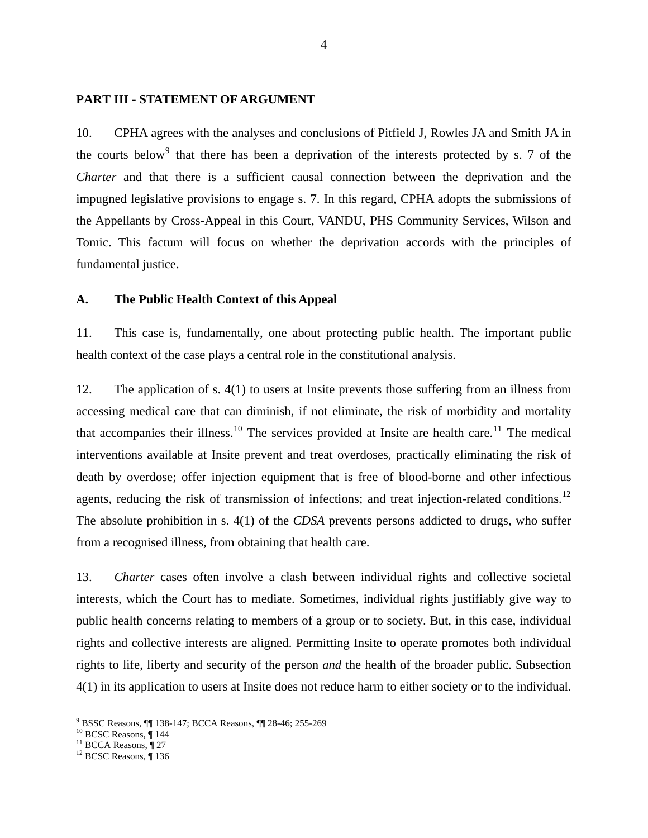#### <span id="page-12-0"></span>**PART III - STATEMENT OF ARGUMENT**

10. CPHA agrees with the analyses and conclusions of Pitfield J, Rowles JA and Smith JA in the courts below<sup>[9](#page-12-1)</sup> that there has been a deprivation of the interests protected by s. 7 of the *Charter* and that there is a sufficient causal connection between the deprivation and the impugned legislative provisions to engage s. 7. In this regard, CPHA adopts the submissions of the Appellants by Cross-Appeal in this Court, VANDU, PHS Community Services, Wilson and Tomic. This factum will focus on whether the deprivation accords with the principles of fundamental justice.

#### **A. The Public Health Context of this Appeal**

11. This case is, fundamentally, one about protecting public health. The important public health context of the case plays a central role in the constitutional analysis.

12. The application of s. 4(1) to users at Insite prevents those suffering from an illness from accessing medical care that can diminish, if not eliminate, the risk of morbidity and mortality that accompanies their illness.<sup>[10](#page-12-2)</sup> The services provided at Insite are health care.<sup>[11](#page-12-3)</sup> The medical interventions available at Insite prevent and treat overdoses, practically eliminating the risk of death by overdose; offer injection equipment that is free of blood-borne and other infectious agents, reducing the risk of transmission of infections; and treat injection-related conditions.<sup>[12](#page-12-4)</sup> The absolute prohibition in s. 4(1) of the *CDSA* prevents persons addicted to drugs, who suffer from a recognised illness, from obtaining that health care.

13. *Charter* cases often involve a clash between individual rights and collective societal interests, which the Court has to mediate. Sometimes, individual rights justifiably give way to public health concerns relating to members of a group or to society. But, in this case, individual rights and collective interests are aligned. Permitting Insite to operate promotes both individual rights to life, liberty and security of the person *and* the health of the broader public. Subsection 4(1) in its application to users at Insite does not reduce harm to either society or to the individual.

<span id="page-12-1"></span><sup>9</sup> BSSC Reasons, ¶¶ 138-147; BCCA Reasons, ¶¶ 28-46; 255-269

<span id="page-12-2"></span><sup>&</sup>lt;sup>10</sup> BCSC Reasons, 144

 $11$  BCCA Reasons,  $\sqrt{27}$ 

<span id="page-12-4"></span><span id="page-12-3"></span><sup>&</sup>lt;sup>12</sup> BCSC Reasons, ¶136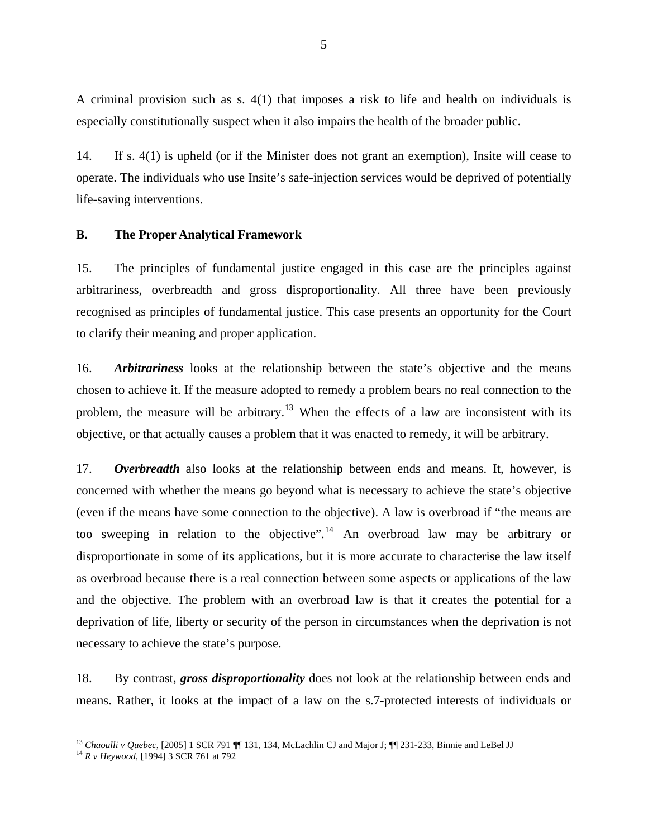<span id="page-13-0"></span>A criminal provision such as s. 4(1) that imposes a risk to life and health on individuals is especially constitutionally suspect when it also impairs the health of the broader public.

14. If s. 4(1) is upheld (or if the Minister does not grant an exemption), Insite will cease to operate. The individuals who use Insite's safe-injection services would be deprived of potentially life-saving interventions.

## **B. The Proper Analytical Framework**

15. The principles of fundamental justice engaged in this case are the principles against arbitrariness, overbreadth and gross disproportionality. All three have been previously recognised as principles of fundamental justice. This case presents an opportunity for the Court to clarify their meaning and proper application.

16. *Arbitrariness* looks at the relationship between the state's objective and the means chosen to achieve it. If the measure adopted to remedy a problem bears no real connection to the problem, the measure will be arbitrary.<sup>[13](#page-13-1)</sup> When the effects of a law are inconsistent with its objective, or that actually causes a problem that it was enacted to remedy, it will be arbitrary.

17. *Overbreadth* also looks at the relationship between ends and means. It, however, is concerned with whether the means go beyond what is necessary to achieve the state's objective (even if the means have some connection to the objective). A law is overbroad if "the means are too sweeping in relation to the objective".<sup>[14](#page-13-2)</sup> An overbroad law may be arbitrary or disproportionate in some of its applications, but it is more accurate to characterise the law itself as overbroad because there is a real connection between some aspects or applications of the law and the objective. The problem with an overbroad law is that it creates the potential for a deprivation of life, liberty or security of the person in circumstances when the deprivation is not necessary to achieve the state's purpose.

18. By contrast, *gross disproportionality* does not look at the relationship between ends and means. Rather, it looks at the impact of a law on the s.7-protected interests of individuals or

<span id="page-13-2"></span><span id="page-13-1"></span><sup>13</sup> *Chaoulli v Quebec*, [2005] 1 SCR 791 ¶¶ 131, 134, McLachlin CJ and Major J; ¶¶ 231-233, Binnie and LeBel JJ 14 *R v Heywood*, [1994] 3 SCR 761 at 792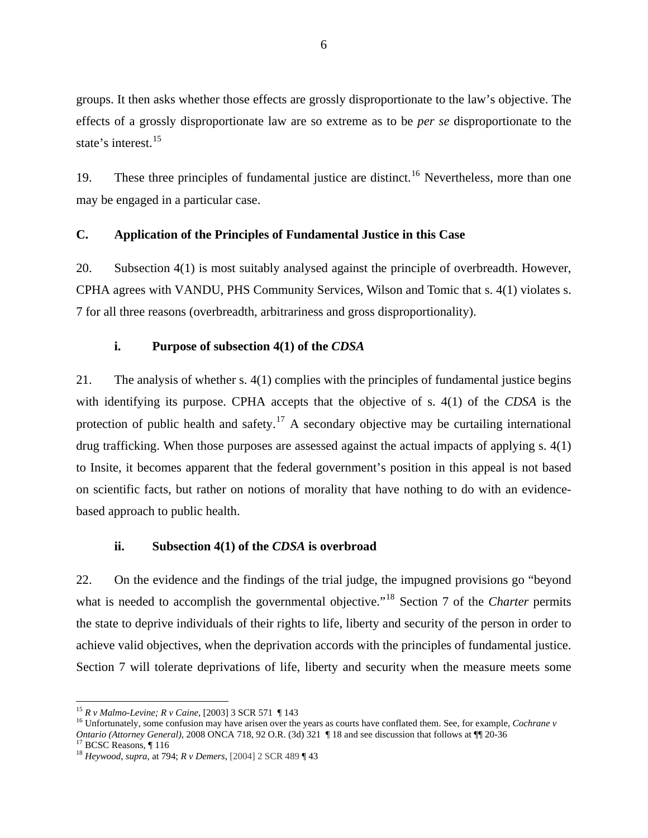<span id="page-14-0"></span>groups. It then asks whether those effects are grossly disproportionate to the law's objective. The effects of a grossly disproportionate law are so extreme as to be *per se* disproportionate to the state's interest.<sup>15</sup>

19. These three principles of fundamental justice are distinct.<sup>[16](#page-14-1)</sup> Nevertheless, more than one may be engaged in a particular case.

## **C. Application of the Principles of Fundamental Justice in this Case**

20. Subsection 4(1) is most suitably analysed against the principle of overbreadth. However, CPHA agrees with VANDU, PHS Community Services, Wilson and Tomic that s. 4(1) violates s. 7 for all three reasons (overbreadth, arbitrariness and gross disproportionality).

## **i.** Purpose of subsection 4(1) of the *CDSA*

21. The analysis of whether s. 4(1) complies with the principles of fundamental justice begins with identifying its purpose. CPHA accepts that the objective of s. 4(1) of the *CDSA* is the protection of public health and safety.<sup>[17](#page-14-2)</sup> A secondary objective may be curtailing international drug trafficking. When those purposes are assessed against the actual impacts of applying s. 4(1) to Insite, it becomes apparent that the federal government's position in this appeal is not based on scientific facts, but rather on notions of morality that have nothing to do with an evidencebased approach to public health.

#### **ii. Subsection 4(1) of the** *CDSA* **is overbroad**

22. On the evidence and the findings of the trial judge, the impugned provisions go "beyond what is needed to accomplish the governmental objective."<sup>[18](#page-14-3)</sup> Section 7 of the *Charter* permits the state to deprive individuals of their rights to life, liberty and security of the person in order to achieve valid objectives, when the deprivation accords with the principles of fundamental justice. Section 7 will tolerate deprivations of life, liberty and security when the measure meets some

<span id="page-14-2"></span>

<span id="page-14-1"></span><sup>&</sup>lt;sup>15</sup> *R v Malmo-Levine; R v Caine*, [2003] 3 SCR 571 ¶ 143<br><sup>16</sup> Unfortunately, some confusion may have arisen over the years as courts have conflated them. See, for example, *Cochrane v Ontario (Attorney General)*, 2008 ONCA 718, 92 O.R. (3d) 321 ¶ 18 and see discussion that follows at ¶¶ 20-36<sup>17</sup> BCSC Reasons, ¶ 116

<span id="page-14-3"></span><sup>18</sup> *Heywood*, *supra*, at 794; *R v Demers*, [2004] 2 SCR 489 ¶ 43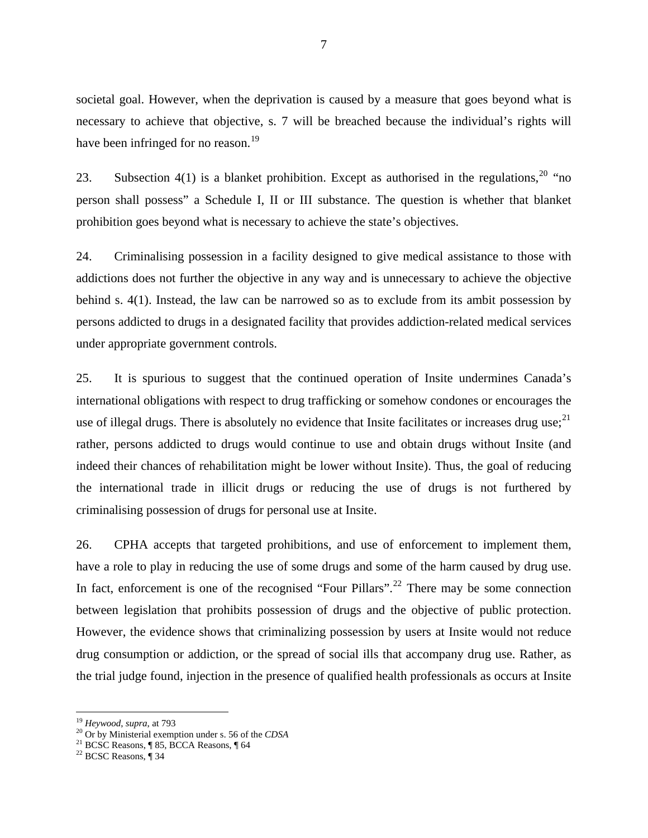societal goal. However, when the deprivation is caused by a measure that goes beyond what is necessary to achieve that objective, s. 7 will be breached because the individual's rights will have been infringed for no reason.<sup>19</sup>

23. Subsection 4(1) is a blanket prohibition. Except as authorised in the regulations,  $^{20}$  $^{20}$  $^{20}$  "no person shall possess" a Schedule I, II or III substance. The question is whether that blanket prohibition goes beyond what is necessary to achieve the state's objectives.

24. Criminalising possession in a facility designed to give medical assistance to those with addictions does not further the objective in any way and is unnecessary to achieve the objective behind s. 4(1). Instead, the law can be narrowed so as to exclude from its ambit possession by persons addicted to drugs in a designated facility that provides addiction-related medical services under appropriate government controls.

25. It is spurious to suggest that the continued operation of Insite undermines Canada's international obligations with respect to drug trafficking or somehow condones or encourages the use of illegal drugs. There is absolutely no evidence that Insite facilitates or increases drug use;<sup>[21](#page-15-1)</sup> rather, persons addicted to drugs would continue to use and obtain drugs without Insite (and indeed their chances of rehabilitation might be lower without Insite). Thus, the goal of reducing the international trade in illicit drugs or reducing the use of drugs is not furthered by criminalising possession of drugs for personal use at Insite.

26. CPHA accepts that targeted prohibitions, and use of enforcement to implement them, have a role to play in reducing the use of some drugs and some of the harm caused by drug use. In fact, enforcement is one of the recognised "Four Pillars".<sup>[22](#page-15-2)</sup> There may be some connection between legislation that prohibits possession of drugs and the objective of public protection. However, the evidence shows that criminalizing possession by users at Insite would not reduce drug consumption or addiction, or the spread of social ills that accompany drug use. Rather, as the trial judge found, injection in the presence of qualified health professionals as occurs at Insite

<sup>&</sup>lt;sup>19</sup> Heywood, supra, at 793

<span id="page-15-0"></span><sup>20</sup> Or by Ministerial exemption under s. 56 of the *CDSA*<br><sup>21</sup> BCSC Reasons, ¶ 85, BCCA Reasons, ¶ 64

<span id="page-15-2"></span><span id="page-15-1"></span><sup>22</sup> BCSC Reasons, ¶ 34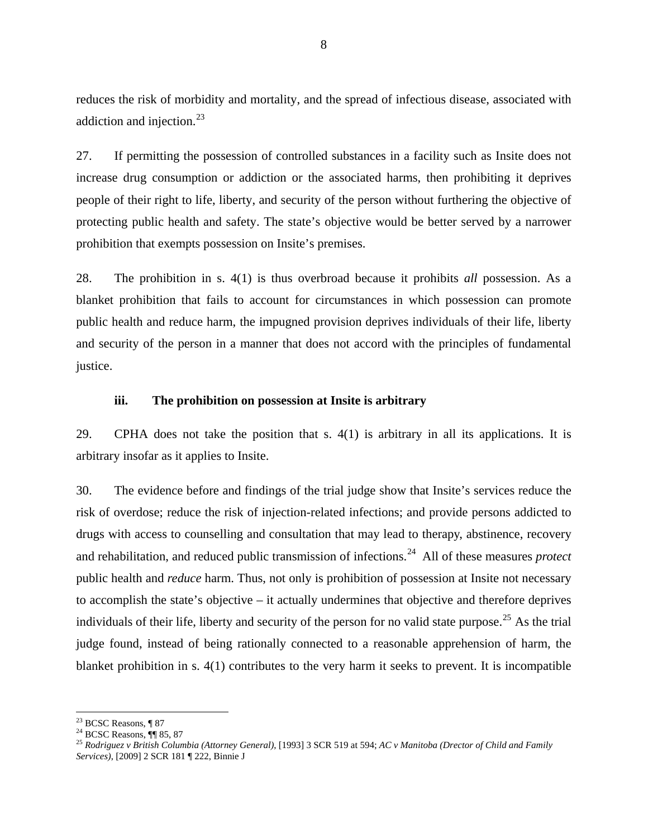<span id="page-16-0"></span>reduces the risk of morbidity and mortality, and the spread of infectious disease, associated with addiction and injection.<sup>23</sup>

27. If permitting the possession of controlled substances in a facility such as Insite does not increase drug consumption or addiction or the associated harms, then prohibiting it deprives people of their right to life, liberty, and security of the person without furthering the objective of protecting public health and safety. The state's objective would be better served by a narrower prohibition that exempts possession on Insite's premises.

28. The prohibition in s. 4(1) is thus overbroad because it prohibits *all* possession. As a blanket prohibition that fails to account for circumstances in which possession can promote public health and reduce harm, the impugned provision deprives individuals of their life, liberty and security of the person in a manner that does not accord with the principles of fundamental justice.

#### **iii. The prohibition on possession at Insite is arbitrary**

29. CPHA does not take the position that s. 4(1) is arbitrary in all its applications. It is arbitrary insofar as it applies to Insite.

30. The evidence before and findings of the trial judge show that Insite's services reduce the risk of overdose; reduce the risk of injection-related infections; and provide persons addicted to drugs with access to counselling and consultation that may lead to therapy, abstinence, recovery and rehabilitation, and reduced public transmission of infections.<sup>[24](#page-16-1)</sup> All of these measures *protect* public health and *reduce* harm. Thus, not only is prohibition of possession at Insite not necessary to accomplish the state's objective – it actually undermines that objective and therefore deprives individuals of their life, liberty and security of the person for no valid state purpose.<sup>[25](#page-16-2)</sup> As the trial judge found, instead of being rationally connected to a reasonable apprehension of harm, the blanket prohibition in s. 4(1) contributes to the very harm it seeks to prevent. It is incompatible

 $23$  BCSC Reasons, ¶ 87

 $24$  BCSC Reasons,  $\P\P$  85, 87

<span id="page-16-2"></span><span id="page-16-1"></span><sup>25</sup> *Rodriguez v British Columbia (Attorney General)*, [1993] 3 SCR 519 at 594; *AC v Manitoba (Drector of Child and Family Services)*, [2009] 2 SCR 181 ¶ 222, Binnie J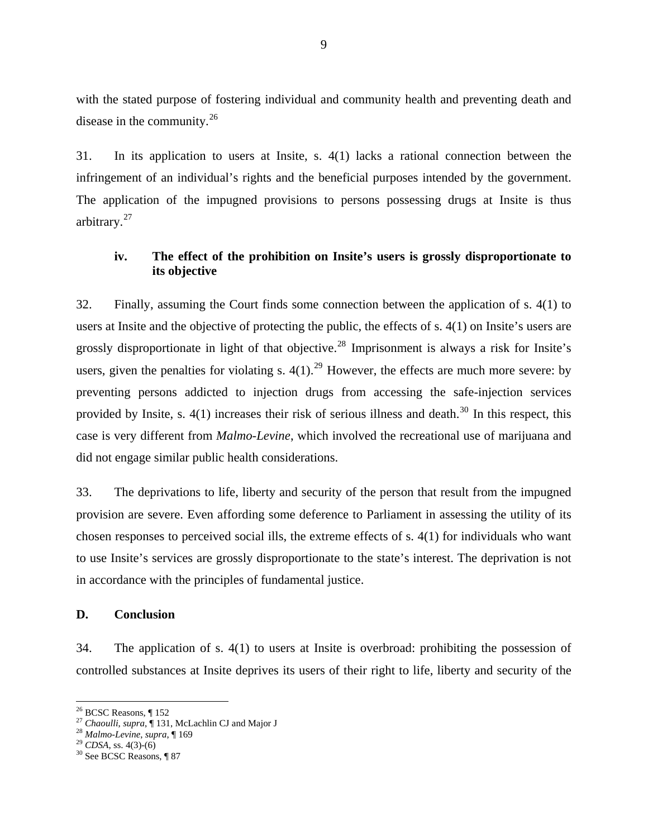<span id="page-17-0"></span>with the stated purpose of fostering individual and community health and preventing death and disease in the community.<sup>26</sup>

31. In its application to users at Insite, s. 4(1) lacks a rational connection between the infringement of an individual's rights and the beneficial purposes intended by the government. The application of the impugned provisions to persons possessing drugs at Insite is thus arbitrary.<sup>[27](#page-17-1)</sup>

# **iv. The effect of the prohibition on Insite's users is grossly disproportionate to its objective**

32. Finally, assuming the Court finds some connection between the application of s. 4(1) to users at Insite and the objective of protecting the public, the effects of s. 4(1) on Insite's users are grossly disproportionate in light of that objective.<sup>[28](#page-17-2)</sup> Imprisonment is always a risk for Insite's users, given the penalties for violating s.  $4(1)$ .<sup>[29](#page-17-3)</sup> However, the effects are much more severe: by preventing persons addicted to injection drugs from accessing the safe-injection services provided by Insite, s.  $4(1)$  increases their risk of serious illness and death.<sup>[30](#page-17-4)</sup> In this respect, this case is very different from *Malmo-Levine*, which involved the recreational use of marijuana and did not engage similar public health considerations.

33. The deprivations to life, liberty and security of the person that result from the impugned provision are severe. Even affording some deference to Parliament in assessing the utility of its chosen responses to perceived social ills, the extreme effects of s. 4(1) for individuals who want to use Insite's services are grossly disproportionate to the state's interest. The deprivation is not in accordance with the principles of fundamental justice.

#### **D. Conclusion**

34. The application of s. 4(1) to users at Insite is overbroad: prohibiting the possession of controlled substances at Insite deprives its users of their right to life, liberty and security of the

<sup>26</sup> BCSC Reasons, ¶ 152

<span id="page-17-1"></span><sup>&</sup>lt;sup>27</sup> *Chaoulli, supra*, ¶ 131, McLachlin CJ and Major J<br><sup>28</sup> *Malmo-Levine*, *supra*, ¶ 169<br><sup>29</sup> *CDSA*, ss. 4(3)-(6) <sup>30</sup> See BCSC Reasons, ¶ 87

<span id="page-17-2"></span>

<span id="page-17-3"></span>

<span id="page-17-4"></span>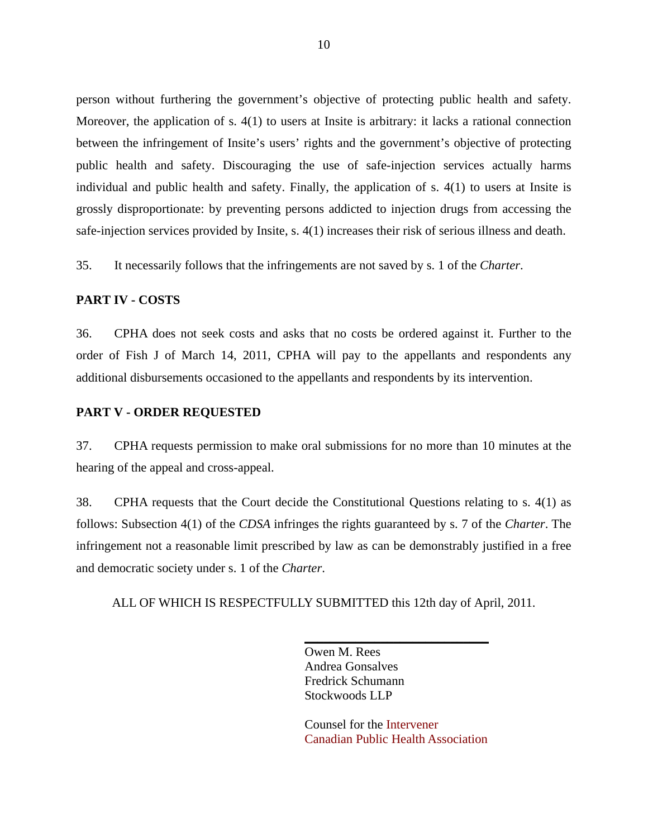<span id="page-18-0"></span>person without furthering the government's objective of protecting public health and safety. Moreover, the application of s. 4(1) to users at Insite is arbitrary: it lacks a rational connection between the infringement of Insite's users' rights and the government's objective of protecting public health and safety. Discouraging the use of safe-injection services actually harms individual and public health and safety. Finally, the application of s. 4(1) to users at Insite is grossly disproportionate: by preventing persons addicted to injection drugs from accessing the safe-injection services provided by Insite, s. 4(1) increases their risk of serious illness and death.

35. It necessarily follows that the infringements are not saved by s. 1 of the *Charter*.

#### **PART IV - COSTS**

36. CPHA does not seek costs and asks that no costs be ordered against it. Further to the order of Fish J of March 14, 2011, CPHA will pay to the appellants and respondents any additional disbursements occasioned to the appellants and respondents by its intervention.

## **PART V - ORDER REQUESTED**

37. CPHA requests permission to make oral submissions for no more than 10 minutes at the hearing of the appeal and cross-appeal.

38. CPHA requests that the Court decide the Constitutional Questions relating to s. 4(1) as follows: Subsection 4(1) of the *CDSA* infringes the rights guaranteed by s. 7 of the *Charter*. The infringement not a reasonable limit prescribed by law as can be demonstrably justified in a free and democratic society under s. 1 of the *Charter*.

ALL OF WHICH IS RESPECTFULLY SUBMITTED this 12th day of April, 2011.

Owen M. Rees Andrea Gonsalves Fredrick Schumann Stockwoods LLP

Counsel for the Intervener Canadian Public Health Association

\_\_\_\_\_\_\_\_\_\_\_\_\_\_\_\_\_\_\_\_\_\_\_\_\_\_\_\_\_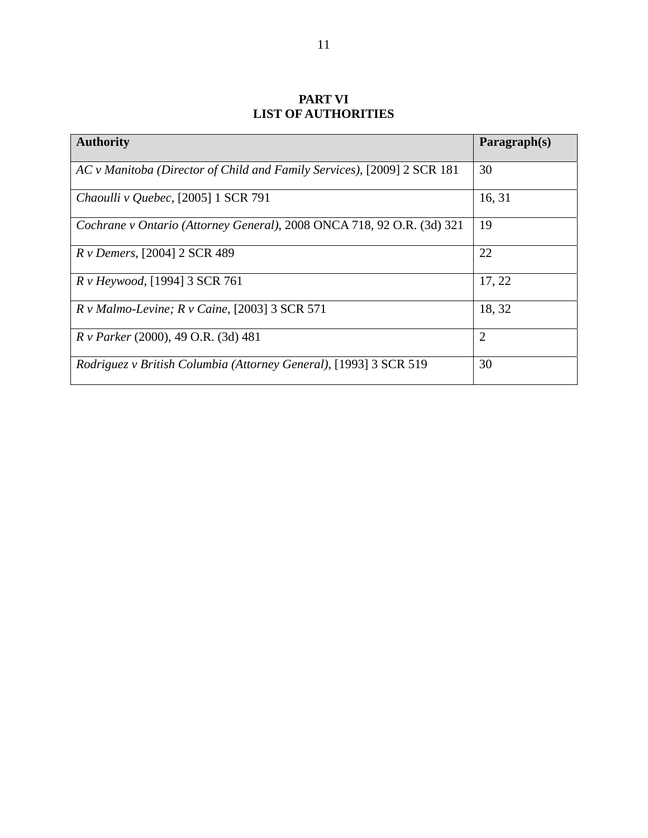# **PART VI LIST OF AUTHORITIES**

<span id="page-19-0"></span>

| <b>Authority</b>                                                         | Paragraph(s)   |
|--------------------------------------------------------------------------|----------------|
| AC v Manitoba (Director of Child and Family Services), [2009] 2 SCR 181  | 30             |
| Chaoulli v Quebec, [2005] 1 SCR 791                                      | 16, 31         |
| Cochrane v Ontario (Attorney General), 2008 ONCA 718, 92 O.R. (3d) 321   | 19             |
| <i>R v Demers,</i> [2004] 2 SCR 489                                      | 22             |
| R v Heywood, [1994] 3 SCR 761                                            | 17, 22         |
| $R v$ Malmo-Levine; $R v$ Caine, [2003] 3 SCR 571                        | 18, 32         |
| <i>R v Parker</i> (2000), 49 O.R. (3d) 481                               | $\overline{2}$ |
| <i>Rodriguez v British Columbia (Attorney General), [1993] 3 SCR 519</i> | 30             |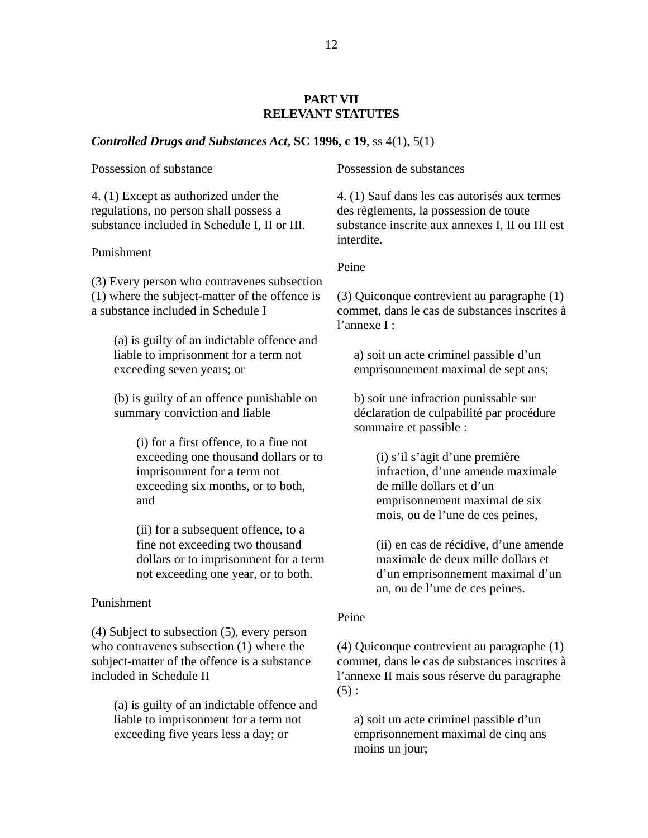## **PART VII RELEVANT STATUTES**

#### <span id="page-20-0"></span>*Controlled Drugs and Substances Act***, SC 1996, c 19**, ss 4(1), 5(1)

Possession of substance

4. (1) Except as authorized under the regulations, no person shall possess a substance included in Schedule I, II or III.

#### Punishment

(3) Every person who contravenes subsection (1) where the subject-matter of the offence is a substance included in Schedule I

(a) is guilty of an indictable offence and liable to imprisonment for a term not exceeding seven years; or

(b) is guilty of an offence punishable on summary conviction and liable

> (i) for a first offence, to a fine not exceeding one thousand dollars or to imprisonment for a term not exceeding six months, or to both, and

> (ii) for a subsequent offence, to a fine not exceeding two thousand dollars or to imprisonment for a term not exceeding one year, or to both.

#### Punishment

(4) Subject to subsection (5), every person who contravenes subsection (1) where the subject-matter of the offence is a substance included in Schedule II

(a) is guilty of an indictable offence and liable to imprisonment for a term not exceeding five years less a day; or

Possession de substances

4. (1) Sauf dans les cas autorisés aux termes des règlements, la possession de toute substance inscrite aux annexes I, II ou III est interdite.

Peine

(3) Quiconque contrevient au paragraphe (1) commet, dans le cas de substances inscrites à l'annexe I :

a) soit un acte criminel passible d'un emprisonnement maximal de sept ans;

b) soit une infraction punissable sur déclaration de culpabilité par procédure sommaire et passible :

> (i) s'il s'agit d'une première infraction, d'une amende maximale de mille dollars et d'un emprisonnement maximal de six mois, ou de l'une de ces peines,

(ii) en cas de récidive, d'une amende maximale de deux mille dollars et d'un emprisonnement maximal d'un an, ou de l'une de ces peines.

## Peine

(4) Quiconque contrevient au paragraphe (1) commet, dans le cas de substances inscrites à l'annexe II mais sous réserve du paragraphe  $(5)$ :

a) soit un acte criminel passible d'un emprisonnement maximal de cinq ans moins un jour;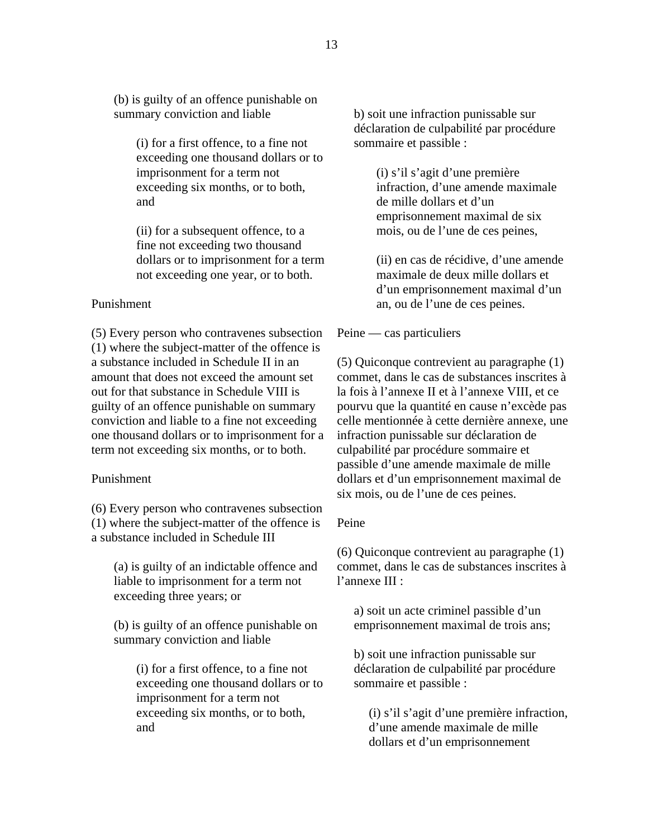(b) is guilty of an offence punishable on summary conviction and liable

> (i) for a first offence, to a fine not exceeding one thousand dollars or to imprisonment for a term not exceeding six months, or to both, and

> (ii) for a subsequent offence, to a fine not exceeding two thousand dollars or to imprisonment for a term not exceeding one year, or to both.

## Punishment

(5) Every person who contravenes subsection (1) where the subject-matter of the offence is a substance included in Schedule II in an amount that does not exceed the amount set out for that substance in Schedule VIII is guilty of an offence punishable on summary conviction and liable to a fine not exceeding one thousand dollars or to imprisonment for a term not exceeding six months, or to both.

#### Punishment

(6) Every person who contravenes subsection (1) where the subject-matter of the offence is a substance included in Schedule III

(a) is guilty of an indictable offence and liable to imprisonment for a term not exceeding three years; or

(b) is guilty of an offence punishable on summary conviction and liable

> (i) for a first offence, to a fine not exceeding one thousand dollars or to imprisonment for a term not exceeding six months, or to both, and

b) soit une infraction punissable sur déclaration de culpabilité par procédure sommaire et passible :

> (i) s'il s'agit d'une première infraction, d'une amende maximale de mille dollars et d'un emprisonnement maximal de six mois, ou de l'une de ces peines,

(ii) en cas de récidive, d'une amende maximale de deux mille dollars et d'un emprisonnement maximal d'un an, ou de l'une de ces peines.

#### Peine — cas particuliers

(5) Quiconque contrevient au paragraphe (1) commet, dans le cas de substances inscrites à la fois à l'annexe II et à l'annexe VIII, et ce pourvu que la quantité en cause n'excède pas celle mentionnée à cette dernière annexe, une infraction punissable sur déclaration de culpabilité par procédure sommaire et passible d'une amende maximale de mille dollars et d'un emprisonnement maximal de six mois, ou de l'une de ces peines.

#### Peine

(6) Quiconque contrevient au paragraphe (1) commet, dans le cas de substances inscrites à l'annexe III :

a) soit un acte criminel passible d'un emprisonnement maximal de trois ans;

b) soit une infraction punissable sur déclaration de culpabilité par procédure sommaire et passible :

(i) s'il s'agit d'une première infraction, d'une amende maximale de mille dollars et d'un emprisonnement